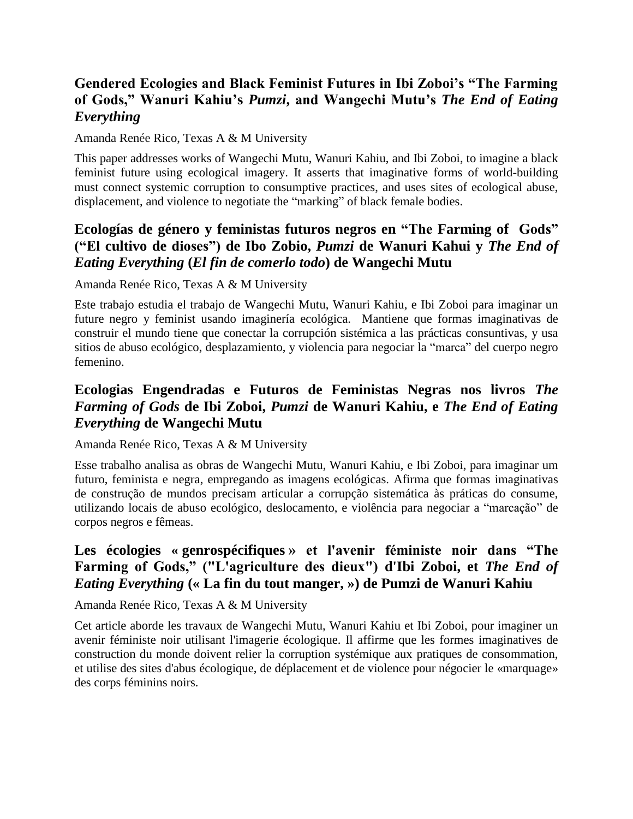# **Gendered Ecologies and Black Feminist Futures in Ibi Zoboi's "The Farming of Gods," Wanuri Kahiu's** *Pumzi***, and Wangechi Mutu's** *The End of Eating Everything*

Amanda Renée Rico, Texas A & M University

This paper addresses works of Wangechi Mutu, Wanuri Kahiu, and Ibi Zoboi, to imagine a black feminist future using ecological imagery. It asserts that imaginative forms of world-building must connect systemic corruption to consumptive practices, and uses sites of ecological abuse, displacement, and violence to negotiate the "marking" of black female bodies.

## **Ecologías de género y feministas futuros negros en "The Farming of Gods" ("El cultivo de dioses") de Ibo Zobio,** *Pumzi* **de Wanuri Kahui y** *The End of Eating Everything* **(***El fin de comerlo todo***) de Wangechi Mutu**

Amanda Renée Rico, Texas A & M University

Este trabajo estudia el trabajo de Wangechi Mutu, Wanuri Kahiu, e Ibi Zoboi para imaginar un future negro y feminist usando imaginería ecológica. Mantiene que formas imaginativas de construir el mundo tiene que conectar la corrupción sistémica a las prácticas consuntivas, y usa sitios de abuso ecológico, desplazamiento, y violencia para negociar la "marca" del cuerpo negro femenino.

## **Ecologias Engendradas e Futuros de Feministas Negras nos livros** *The Farming of Gods* **de Ibi Zoboi,** *Pumzi* **de Wanuri Kahiu, e** *The End of Eating Everything* **de Wangechi Mutu**

Amanda Renée Rico, Texas A & M University

Esse trabalho analisa as obras de Wangechi Mutu, Wanuri Kahiu, e Ibi Zoboi, para imaginar um futuro, feminista e negra, empregando as imagens ecológicas. Afirma que formas imaginativas de construção de mundos precisam articular a corrupção sistemática às práticas do consume, utilizando locais de abuso ecológico, deslocamento, e violência para negociar a "marcação" de corpos negros e fêmeas.

## **Les écologies « genrospécifiques » et l'avenir féministe noir dans "The Farming of Gods," ("L'agriculture des dieux") d'Ibi Zoboi, et** *The End of Eating Everything* **(« La fin du tout manger, ») de Pumzi de Wanuri Kahiu**

Amanda Renée Rico, Texas A & M University

Cet article aborde les travaux de Wangechi Mutu, Wanuri Kahiu et Ibi Zoboi, pour imaginer un avenir féministe noir utilisant l'imagerie écologique. Il affirme que les formes imaginatives de construction du monde doivent relier la corruption systémique aux pratiques de consommation, et utilise des sites d'abus écologique, de déplacement et de violence pour négocier le «marquage» des corps féminins noirs.